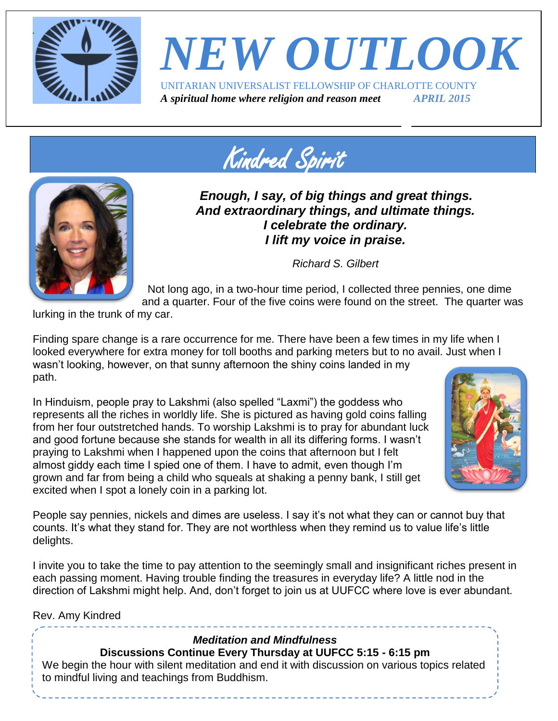

### *NEW OUTLOOK* UNITARIAN UNIVERSALIST FELLOWSHIP OF CHARLOTTE COUNTY *A spiritual home where religion and reason meet APRIL 2015*

Kindred Spirit



*Enough, I say, of big things and great things. And extraordinary things, and ultimate things. I celebrate the ordinary. I lift my voice in praise.*

*Richard S. Gilbert*

Not long ago, in a two-hour time period, I collected three pennies, one dime and a quarter. Four of the five coins were found on the street. The quarter was

lurking in the trunk of my car.

Finding spare change is a rare occurrence for me. There have been a few times in my life when I looked everywhere for extra money for toll booths and parking meters but to no avail. Just when I wasn't looking, however, on that sunny afternoon the shiny coins landed in my path.

In Hinduism, people pray to Lakshmi (also spelled "Laxmi") the goddess who represents all the riches in worldly life. She is pictured as having gold coins falling from her four outstretched hands. To worship Lakshmi is to pray for abundant luck and good fortune because she stands for wealth in all its differing forms. I wasn't praying to Lakshmi when I happened upon the coins that afternoon but I felt almost giddy each time I spied one of them. I have to admit, even though I'm grown and far from being a child who squeals at shaking a penny bank, I still get excited when I spot a lonely coin in a parking lot.



People say pennies, nickels and dimes are useless. I say it's not what they can or cannot buy that counts. It's what they stand for. They are not worthless when they remind us to value life's little delights.

I invite you to take the time to pay attention to the seemingly small and insignificant riches present in each passing moment. Having trouble finding the treasures in everyday life? A little nod in the direction of Lakshmi might help. And, don't forget to join us at UUFCC where love is ever abundant.

Rev. Amy Kindred

### *Meditation and Mindfulness*

**Discussions Continue Every Thursday at UUFCC 5:15 - 6:15 pm**

We begin the hour with silent meditation and end it with discussion on various topics related to mindful living and teachings from Buddhism.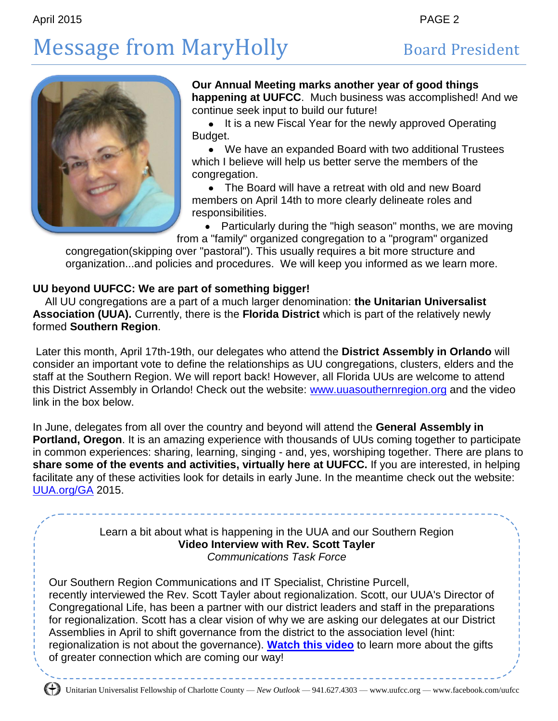# Message from MaryHolly Board President



#### **Our Annual Meeting marks another year of good things happening at UUFCC**. Much business was accomplished! And we continue seek input to build our future!

• It is a new Fiscal Year for the newly approved Operating Budget.

We have an expanded Board with two additional Trustees which I believe will help us better serve the members of the congregation.

The Board will have a retreat with old and new Board members on April 14th to more clearly delineate roles and responsibilities.

 $\bullet$ Particularly during the "high season" months, we are moving from a "family" organized congregation to a "program" organized

congregation(skipping over "pastoral"). This usually requires a bit more structure and organization...and policies and procedures. We will keep you informed as we learn more.

### **UU beyond UUFCC: We are part of something bigger!**

All UU congregations are a part of a much larger denomination: **the Unitarian Universalist Association (UUA).** Currently, there is the **Florida District** which is part of the relatively newly formed **Southern Region**.

Later this month, April 17th-19th, our delegates who attend the **District Assembly in Orlando** will consider an important vote to define the relationships as UU congregations, clusters, elders and the staff at the Southern Region. We will report back! However, all Florida UUs are welcome to attend this District Assembly in Orlando! Check out the website: [www.uuasouthernregion.org](http://www.uuasouthernregion.org/) and the video link in the box below.

In June, delegates from all over the country and beyond will attend the **General Assembly in Portland, Oregon**. It is an amazing experience with thousands of UUs coming together to participate in common experiences: sharing, learning, singing - and, yes, worshiping together. There are plans to **share some of the events and activities, virtually here at UUFCC.** If you are interested, in helping facilitate any of these activities look for details in early June. In the meantime check out the website: [UUA.org/GA](http://uua.org/GA) 2015.

### Learn a bit about what is happening in the UUA and our Southern Region **Video Interview with Rev. Scott Tayler** *Communications Task Force*

Our Southern Region Communications and IT Specialist, Christine Purcell, recently interviewed the Rev. Scott Tayler about regionalization. Scott, our UUA's Director of Congregational Life, has been a partner with our district leaders and staff in the preparations for regionalization. Scott has a clear vision of why we are asking our delegates at our District Assemblies in April to shift governance from the district to the association level (hint: regionalization is not about the governance). **[Watch this video](http://r20.rs6.net/tn.jsp?f=001BuUT1yRD0Cmkmc7s14Jvars1ieLyFDNWTk5g9x9BUJjufxPY_adCEZNEgtTlSl2Oion7TcQUPfuAr0VMaaakpf3mSdc_qIGpc-SCgK6RqNfPVYhhNC5uTTRkNwBaevqNujSWIUDDgz5W2wLJ0KxMvEXWIhup4WKMouOzGvL2QnoKmD5oXhkiUw==&c=ejDx1Vpb9dKL1mPprdOhAzSNN98T9Zz2oymnQSgDGDEKS6h4FBh4zQ==&ch=-Bckf6zQ-pr9XOhGehyzWwRxRPWWDrtsWZjZBZShuhE2JCMCcCBiUg==)** to learn more about the gifts of greater connection which are coming our way!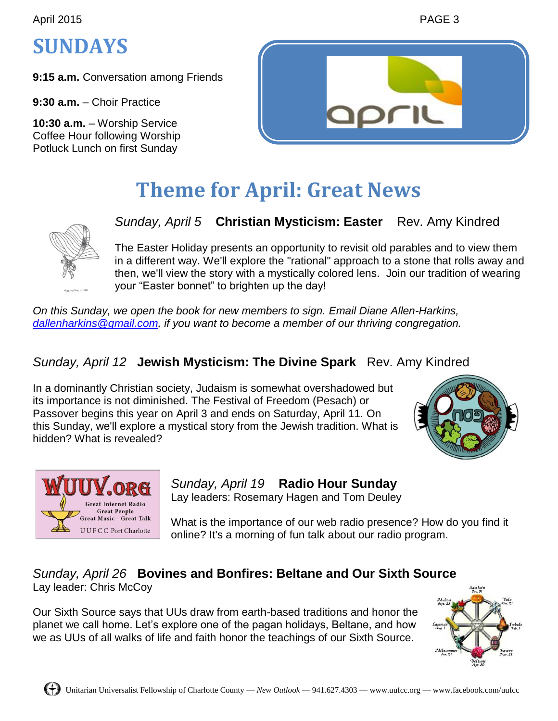April 2015 **PAGE 3** 

### **SUNDAYS**

**9:15 a.m.** Conversation among Friends

**9:30 a.m.** – Choir Practice

**10:30 a.m.** – Worship Service Coffee Hour following Worship Potluck Lunch on first Sunday



### **Theme for April: Great News**



*Sunday, April 5* **Christian Mysticism: Easter** Rev. Amy Kindred

The Easter Holiday presents an opportunity to revisit old parables and to view them in a different way. We'll explore the "rational" approach to a stone that rolls away and then, we'll view the story with a mystically colored lens. Join our tradition of wearing your "Easter bonnet" to brighten up the day!

*On this Sunday, we open the book for new members to sign. Email Diane Allen-Harkins, [dallenharkins@gmail.com,](mailto:dallenharkins@gmail.com) if you want to become a member of our thriving congregation.*

### *Sunday, April 12* **Jewish Mysticism: The Divine Spark** Rev. Amy Kindred

In a dominantly Christian society, Judaism is somewhat overshadowed but its importance is not diminished. The Festival of Freedom (Pesach) or Passover begins this year on April 3 and ends on Saturday, April 11. On this Sunday, we'll explore a mystical story from the Jewish tradition. What is hidden? What is revealed?





*Sunday, April 19* **Radio Hour Sunday** Lay leaders: Rosemary Hagen and Tom Deuley

What is the importance of our web radio presence? How do you find it online? It's a morning of fun talk about our radio program.

### *Sunday, April 26* **Bovines and Bonfires: Beltane and Our Sixth Source** Lay leader: Chris McCoy

Our Sixth Source says that UUs draw from earth-based traditions and honor the planet we call home. Let's explore one of the pagan holidays, Beltane, and how we as UUs of all walks of life and faith honor the teachings of our Sixth Source.

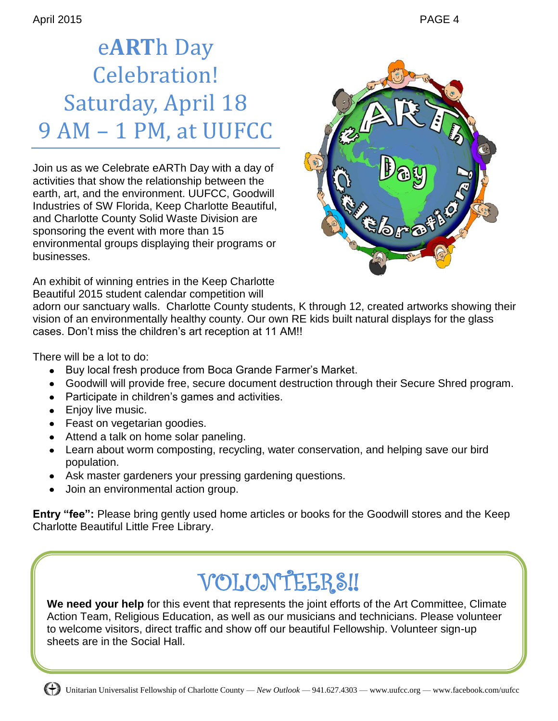## e**ART**h Day Celebration! Saturday, April 18 9 AM – 1 PM, at UUFCC

Join us as we Celebrate eARTh Day with a day of activities that show the relationship between the earth, art, and the environment. UUFCC, Goodwill Industries of SW Florida, Keep Charlotte Beautiful, and Charlotte County Solid Waste Division are sponsoring the event with more than 15 environmental groups displaying their programs or businesses.



An exhibit of winning entries in the Keep Charlotte Beautiful 2015 student calendar competition will

adorn our sanctuary walls. Charlotte County students, K through 12, created artworks showing their vision of an environmentally healthy county. Our own RE kids built natural displays for the glass cases. Don't miss the children's art reception at 11 AM!!

There will be a lot to do:

- Buy local fresh produce from Boca Grande Farmer's Market.  $\bullet$
- Goodwill will provide free, secure document destruction through their Secure Shred program.
- Participate in children's games and activities.
- Enjoy live music.
- Feast on vegetarian goodies.
- Attend a talk on home solar paneling.
- Learn about worm composting, recycling, water conservation, and helping save our bird population.
- Ask master gardeners your pressing gardening questions.
- Join an environmental action group.

**Entry "fee":** Please bring gently used home articles or books for the Goodwill stores and the Keep Charlotte Beautiful Little Free Library.

# VOLUNTEERS!!

**We need your help** for this event that represents the joint efforts of the Art Committee, Climate Action Team, Religious Education, as well as our musicians and technicians. Please volunteer to welcome visitors, direct traffic and show off our beautiful Fellowship. Volunteer sign-up sheets are in the Social Hall.

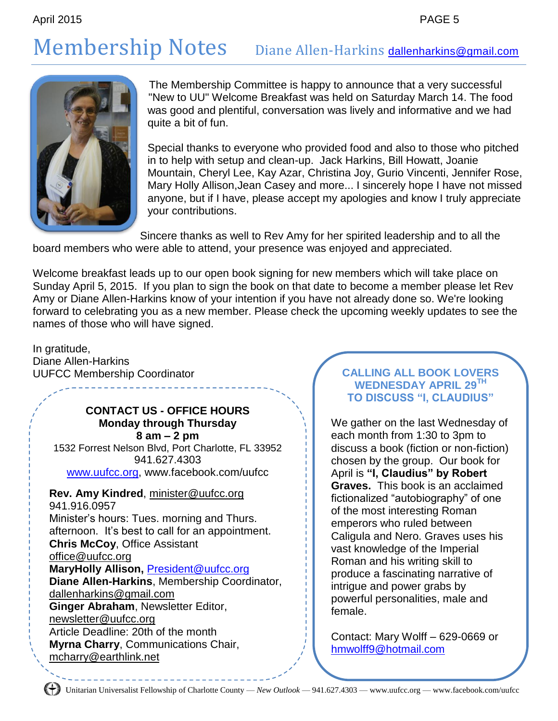## Membership Notes Diane Allen-Harkins [dallenharkins@gmail.com](mailto:dallenharkins@gmail.com)



The Membership Committee is happy to announce that a very successful "New to UU" Welcome Breakfast was held on Saturday March 14. The food was good and plentiful, conversation was lively and informative and we had quite a bit of fun.

Special thanks to everyone who provided food and also to those who pitched in to help with setup and clean-up. Jack Harkins, Bill Howatt, Joanie Mountain, Cheryl Lee, Kay Azar, Christina Joy, Gurio Vincenti, Jennifer Rose, Mary Holly Allison,Jean Casey and more... I sincerely hope I have not missed anyone, but if I have, please accept my apologies and know I truly appreciate your contributions.

Sincere thanks as well to Rev Amy for her spirited leadership and to all the board members who were able to attend, your presence was enjoyed and appreciated.

Welcome breakfast leads up to our open book signing for new members which will take place on Sunday April 5, 2015. If you plan to sign the book on that date to become a member please let Rev Amy or Diane Allen-Harkins know of your intention if you have not already done so. We're looking forward to celebrating you as a new member. Please check the upcoming weekly updates to see the names of those who will have signed.

In gratitude, Diane Allen-Harkins UUFCC Membership Coordinator

#### **CONTACT US - OFFICE HOURS Monday through Thursday 8 am – 2 pm**

1532 Forrest Nelson Blvd, Port Charlotte, FL 33952 941.627.4303 [www.uufcc.org,](http://www.uufcc.org/) www.facebook.com/uufcc

**Rev. Amy Kindred**, minister@uufcc.org 941.916.0957 Minister's hours: Tues. morning and Thurs. afternoon. It's best to call for an appointment. **Chris McCoy**, Office Assistant [office@uufcc.org](mailto:office@uufcc.org) **MaryHolly Allison,** [President@uufcc.org](mailto:President@uufcc.org) **Diane Allen-Harkins**, Membership Coordinator, dallenharkins@gmail.com **Ginger Abraham**, Newsletter Editor, newsletter@uufcc.org Article Deadline: 20th of the month **Myrna Charry**, Communications Chair, mcharry@earthlink.net

#### **CALLING ALL BOOK LOVERS WEDNESDAY APRIL 29TH TO DISCUSS "I, CLAUDIUS"**

We gather on the last Wednesday of each month from 1:30 to 3pm to discuss a book (fiction or non-fiction) chosen by the group. Our book for April is **"I, Claudius" by Robert Graves.** This book is an acclaimed fictionalized "autobiography" of one of the most interesting Roman emperors who ruled between Caligula and Nero. Graves uses his vast knowledge of the Imperial Roman and his writing skill to produce a fascinating narrative of intrigue and power grabs by powerful personalities, male and female.

Contact: Mary Wolff – 629-0669 or [hmwolff9@hotmail.com](mailto:hmwolff9@hotmail.com)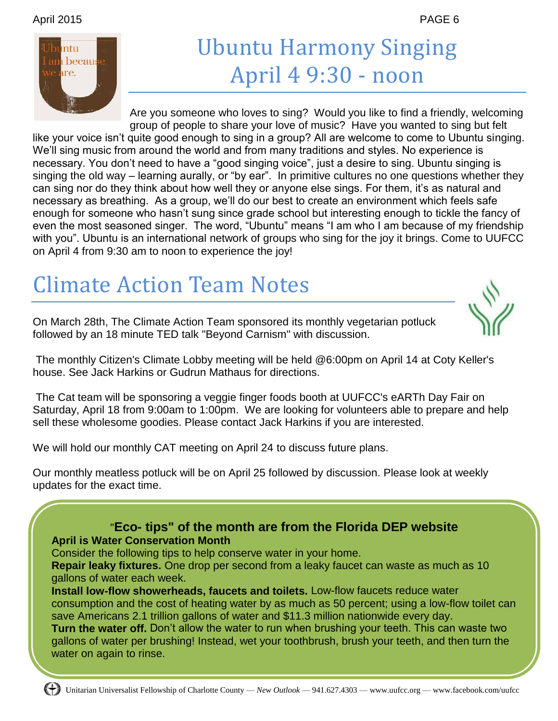#### April 2015 PAGE 6



## Ubuntu Harmony Singing April 4 9:30 - noon

Are you someone who loves to sing? Would you like to find a friendly, welcoming group of people to share your love of music? Have you wanted to sing but felt

like your voice isn't quite good enough to sing in a group? All are welcome to come to Ubuntu singing. We'll sing music from around the world and from many traditions and styles. No experience is necessary. You don't need to have a "good singing voice", just a desire to sing. Ubuntu singing is singing the old way – learning aurally, or "by ear". In primitive cultures no one questions whether they can sing nor do they think about how well they or anyone else sings. For them, it's as natural and necessary as breathing. As a group, we'll do our best to create an environment which feels safe enough for someone who hasn't sung since grade school but interesting enough to tickle the fancy of even the most seasoned singer. The word, "Ubuntu" means "I am who I am because of my friendship with you". Ubuntu is an international network of groups who sing for the joy it brings. Come to UUFCC on April 4 from 9:30 am to noon to experience the joy!

## Climate Action Team Notes

On March 28th, The Climate Action Team sponsored its monthly vegetarian potluck followed by an 18 minute TED talk "Beyond Carnism" with discussion.



The monthly Citizen's Climate Lobby meeting will be held @6:00pm on April 14 at Coty Keller's house. See Jack Harkins or Gudrun Mathaus for directions.

The Cat team will be sponsoring a veggie finger foods booth at UUFCC's eARTh Day Fair on Saturday, April 18 from 9:00am to 1:00pm. We are looking for volunteers able to prepare and help sell these wholesome goodies. Please contact Jack Harkins if you are interested.

We will hold our monthly CAT meeting on April 24 to discuss future plans.

Our monthly meatless potluck will be on April 25 followed by discussion. Please look at weekly updates for the exact time.



save Americans 2.1 trillion gallons of water and \$11.3 million nationwide every day. **Turn the water off.** Don't allow the water to run when brushing your teeth. This can waste two gallons of water per brushing! Instead, wet your toothbrush, brush your teeth, and then turn the water on again to rinse.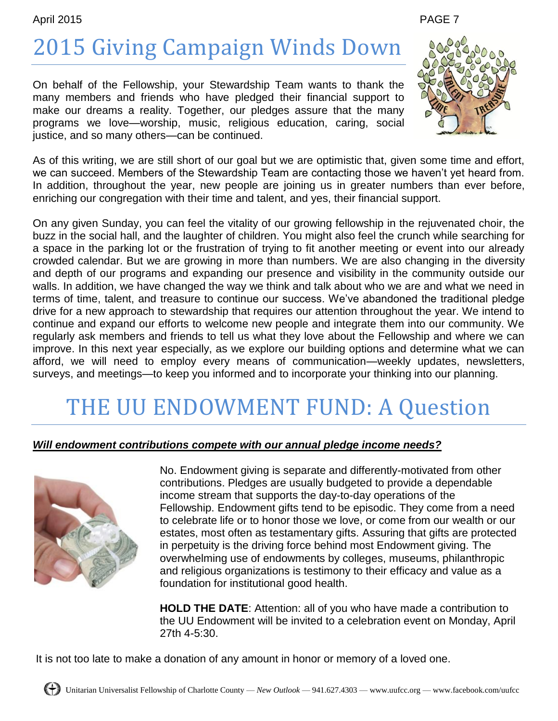#### April 2015 PAGE 7

# 2015 Giving Campaign Winds Down

On behalf of the Fellowship, your Stewardship Team wants to thank the many members and friends who have pledged their financial support to make our dreams a reality. Together, our pledges assure that the many programs we love—worship, music, religious education, caring, social justice, and so many others—can be continued.



As of this writing, we are still short of our goal but we are optimistic that, given some time and effort, we can succeed. Members of the Stewardship Team are contacting those we haven't yet heard from. In addition, throughout the year, new people are joining us in greater numbers than ever before, enriching our congregation with their time and talent, and yes, their financial support.

On any given Sunday, you can feel the vitality of our growing fellowship in the rejuvenated choir, the buzz in the social hall, and the laughter of children. You might also feel the crunch while searching for a space in the parking lot or the frustration of trying to fit another meeting or event into our already crowded calendar. But we are growing in more than numbers. We are also changing in the diversity and depth of our programs and expanding our presence and visibility in the community outside our walls. In addition, we have changed the way we think and talk about who we are and what we need in terms of time, talent, and treasure to continue our success. We've abandoned the traditional pledge drive for a new approach to stewardship that requires our attention throughout the year. We intend to continue and expand our efforts to welcome new people and integrate them into our community. We regularly ask members and friends to tell us what they love about the Fellowship and where we can improve. In this next year especially, as we explore our building options and determine what we can afford, we will need to employ every means of communication—weekly updates, newsletters, surveys, and meetings—to keep you informed and to incorporate your thinking into our planning.

## THE UU ENDOWMENT FUND: A Question

#### *Will endowment contributions compete with our annual pledge income needs?*



No. Endowment giving is separate and differently-motivated from other contributions. Pledges are usually budgeted to provide a dependable income stream that supports the day-to-day operations of the Fellowship. Endowment gifts tend to be episodic. They come from a need to celebrate life or to honor those we love, or come from our wealth or our estates, most often as testamentary gifts. Assuring that gifts are protected in perpetuity is the driving force behind most Endowment giving. The overwhelming use of endowments by colleges, museums, philanthropic and religious organizations is testimony to their efficacy and value as a foundation for institutional good health.

**HOLD THE DATE**: Attention: all of you who have made a contribution to the UU Endowment will be invited to a celebration event on Monday, April 27th 4-5:30.

It is not too late to make a donation of any amount in honor or memory of a loved one.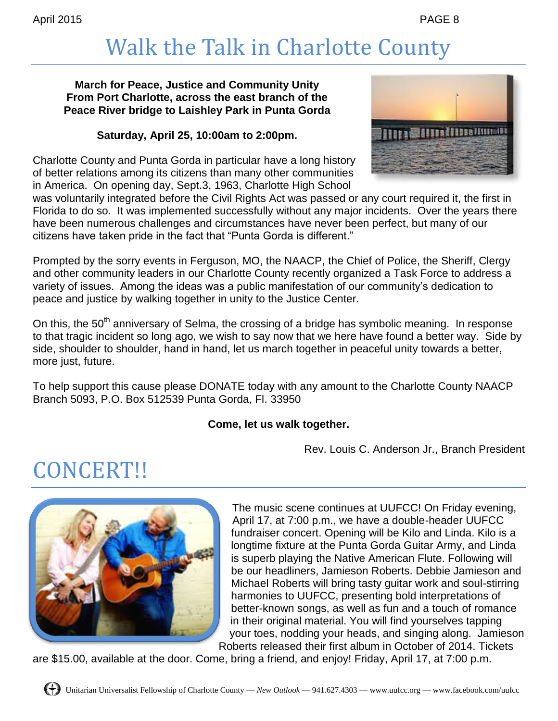## Walk the Talk in Charlotte County

#### **March for Peace, Justice and Community Unity From Port Charlotte, across the east branch of the Peace River bridge to Laishley Park in Punta Gorda**

#### **Saturday, April 25, 10:00am to 2:00pm.**

Charlotte County and Punta Gorda in particular have a long history of better relations among its citizens than many other communities in America. On opening day, Sept.3, 1963, Charlotte High School



was voluntarily integrated before the Civil Rights Act was passed or any court required it, the first in Florida to do so. It was implemented successfully without any major incidents. Over the years there have been numerous challenges and circumstances have never been perfect, but many of our citizens have taken pride in the fact that "Punta Gorda is different."

Prompted by the sorry events in Ferguson, MO, the NAACP, the Chief of Police, the Sheriff, Clergy and other community leaders in our Charlotte County recently organized a Task Force to address a variety of issues. Among the ideas was a public manifestation of our community's dedication to peace and justice by walking together in unity to the Justice Center.

On this, the  $50<sup>th</sup>$  anniversary of Selma, the crossing of a bridge has symbolic meaning. In response to that tragic incident so long ago, we wish to say now that we here have found a better way. Side by side, shoulder to shoulder, hand in hand, let us march together in peaceful unity towards a better, more just, future.

To help support this cause please DONATE today with any amount to the Charlotte County NAACP Branch 5093, P.O. Box 512539 Punta Gorda, Fl. 33950

#### **Come, let us walk together.**

Rev. Louis C. Anderson Jr., Branch President

### CONCERT!!



The music scene continues at UUFCC! On Friday evening, April 17, at 7:00 p.m., we have a double-header UUFCC fundraiser concert. Opening will be Kilo and Linda. Kilo is a longtime fixture at the Punta Gorda Guitar Army, and Linda is superb playing the Native American Flute. Following will be our headliners, Jamieson Roberts. Debbie Jamieson and Michael Roberts will bring tasty guitar work and soul-stirring harmonies to UUFCC, presenting bold interpretations of better-known songs, as well as fun and a touch of romance in their original material. You will find yourselves tapping your toes, nodding your heads, and singing along. Jamieson Roberts released their first album in October of 2014. Tickets

are \$15.00, available at the door. Come, bring a friend, and enjoy! Friday, April 17, at 7:00 p.m.